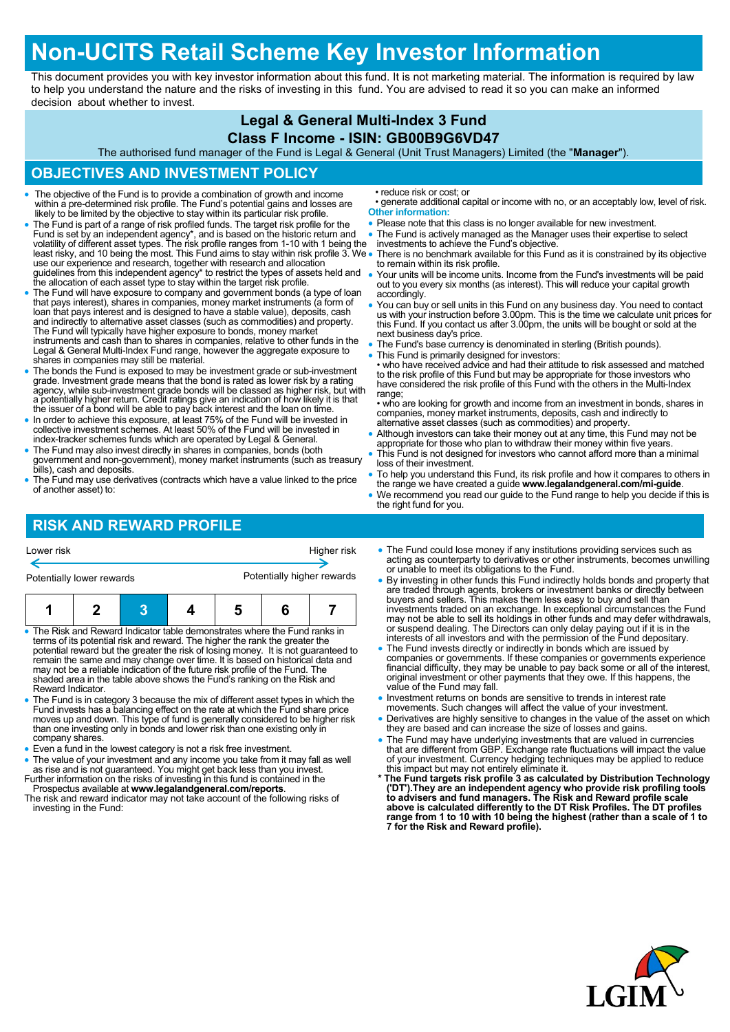# **Non-UCITS Retail Scheme Key Investor Information**

This document provides you with key investor information about this fund. It is not marketing material. The information is required by law to help you understand the nature and the risks of investing in this fund. You are advised to read it so you can make an informed decision about whether to invest.

#### **Legal & General Multi-Index 3 Fund**

#### **Class F Income - ISIN: GB00B9G6VD47**

The authorised fund manager of the Fund is Legal & General (Unit Trust Managers) Limited (the "**Manager**").

### **OBJECTIVES AND INVESTMENT POLICY**

- The objective of the Fund is to provide a combination of growth and income within a pre-determined risk profile. The Fund's potential gains and losses are likely to be limited by the objective to stay within its particular risk profile.
- The Fund is part of a range of risk profiled funds. The target risk profile for the Fund is set by an independent agency\*, and is based on the historic return and<br>volatility of different asset types. The risk profile ranges from 1-10 with 1 being the<br>least risky, and 10 being the most. This Fund aims to s use our experience and research, together with research and allocation guidelines from this independent agency\* to restrict the types of assets held and the allocation of each asset type to stay within the target risk profile.
- The Fund will have exposure to company and government bonds (a type of loan that pays interest), shares in companies, money market instruments (a form of loan that pays interest and is designed to have a stable value), deposits, cash and indirectly to alternative asset classes (such as commodities) and property.<br>The Fund will typically have higher exposure to bonds, money market<br>instruments and cash than to shares in companies, relative to other funds Legal & General Multi-Index Fund range, however the aggregate exposure to shares in companies may still be material.
- The bonds the Fund is exposed to may be investment grade or sub-investment grade. Investment grade means that the bond is rated as lower risk by a rating agency, while sub-investment grade bonds will be classed as higher risk, but with a potentially higher return. Credit ratings give an indication of how likely it is that the issuer of a bond will be able to pay back interest and the loan on time.
- In order to achieve this exposure, at least 75% of the Fund will be invested in collective investment schemes. At least 50% of the Fund will be invested in index-tracker schemes funds which are operated by Legal & General.
- The Fund may also invest directly in shares in companies, bonds (both government and non-government), money market instruments (such as treasury bills), cash and deposits.
- The Fund may use derivatives (contracts which have a value linked to the price of another asset) to:

## **RISK AND REWARD PROFILE**

• reduce risk or cost; or

- generate additional capital or income with no, or an acceptably low, level of risk. **Other information:**
- Please note that this class is no longer available for new investment.
- The Fund is actively managed as the Manager uses their expertise to select
- investments to achieve the Fund's objective.
- There is no benchmark available for this Fund as it is constrained by its objective to remain within its risk profile.
- Your units will be income units. Income from the Fund's investments will be paid out to you every six months (as interest). This will reduce your capital growth accordingly.
- You can buy or sell units in this Fund on any business day. You need to contact us with your instruction before 3.00pm. This is the time we calculate unit prices for this Fund. If you contact us after 3.00pm, the units will be bought or sold at the next business day's price.
- The Fund's base currency is denominated in sterling (British pounds).
- This Fund is primarily designed for investors: who have received advice and had their attitude to risk assessed and matched to the risk profile of this Fund but may be appropriate for those investors who have considered the risk profile of this Fund with the others in the Multi-Index
- range: • who are looking for growth and income from an investment in bonds, shares in companies, money market instruments, deposits, cash and indirectly to
- alternative asset classes (such as commodities) and property. Although investors can take their money out at any time, this Fund may not be appropriate for those who plan to withdraw their money within five years.
- This Fund is not designed for investors who cannot afford more than a minimal loss of their investment.
- To help you understand this Fund, its risk profile and how it compares to others in the range we have created a guide **www.legalandgeneral.com/mi-guide**.
- We recommend you read our guide to the Fund range to help you decide if this is the right fund for you.
- The Fund could lose money if any institutions providing services such as acting as counterparty to derivatives or other instruments, becomes unwilling or unable to meet its obligations to the Fund. Lower risk Higher risk Higher risk Potentially lower rewards **Potentially higher rewards**

| . The Disk and Deward Indicator table demonstrates where the Fund ranks in |  |  |  |  |  |  |
|----------------------------------------------------------------------------|--|--|--|--|--|--|

- The Risk and Reward Indicator table demonstrates where the Fund ranks in terms of its potential risk and reward. The higher the rank the greater the potential reward but the greater the risk of losing money. It is not guaranteed to remain the same and may change over time. It is based on historical data and may not be a reliable indication of the future risk profile of the Fund. The shaded area in the table above shows the Fund's ranking on the Risk and Reward Indicator.
- The Fund is in category 3 because the mix of different asset types in which the Fund invests has a balancing effect on the rate at which the Fund share price moves up and down. This type of fund is generally considered to be higher risk than one investing only in bonds and lower risk than one existing only in company shares.
- Even a fund in the lowest category is not a risk free investment.
- The value of your investment and any income you take from it may fall as well as rise and is not guaranteed. You might get back less than you invest.
- investing in the Fund:
- By investing in other funds this Fund indirectly holds bonds and property that
- are traded through agents, brokers or investment banks or directly between buyers and sellers. This makes them less easy to buy and sell than investments traded on an exchange. In exceptional circumstances the Fund may not be able to sell its holdings in other funds and may defer withdrawals, or suspend dealing. The Directors can only delay paying out if it is in the interests of all investors and with the permission of the Fund depositary.
- The Fund invests directly or indirectly in bonds which are issued by<br>companies or governments. If these companies or governments experience<br>financial difficulty, they may be unable to pay back some or all of the interest value of the Fund may fall.
- . Investment returns on bonds are sensitive to trends in interest rate movements. Such changes will affect the value of your investment.
- Derivatives are highly sensitive to changes in the value of the asset on which they are based and can increase the size of losses and gains.
- The Fund may have underlying investments that are valued in currencies that are different from GBP. Exchange rate fluctuations will impact the value of your investment. Currency hedging techniques may be applied to reduce
- this impact but may not entirely eliminate it.<br>
\* The Fund targets risk profile 3 as calculated by Distribution Technology<br>
('DT').They are an independent agency who provide risk profiling tools<br>
to advisers and fund manag **range from 1 to 10 with 10 being the highest (rather than a scale of 1 to 7 for the Risk and Reward profile).**



Further information on the risks of investing in this fund is contained in the Prospectus available at **www.legalandgeneral.com/reports**. The risk and reward indicator may not take account of the following risks of